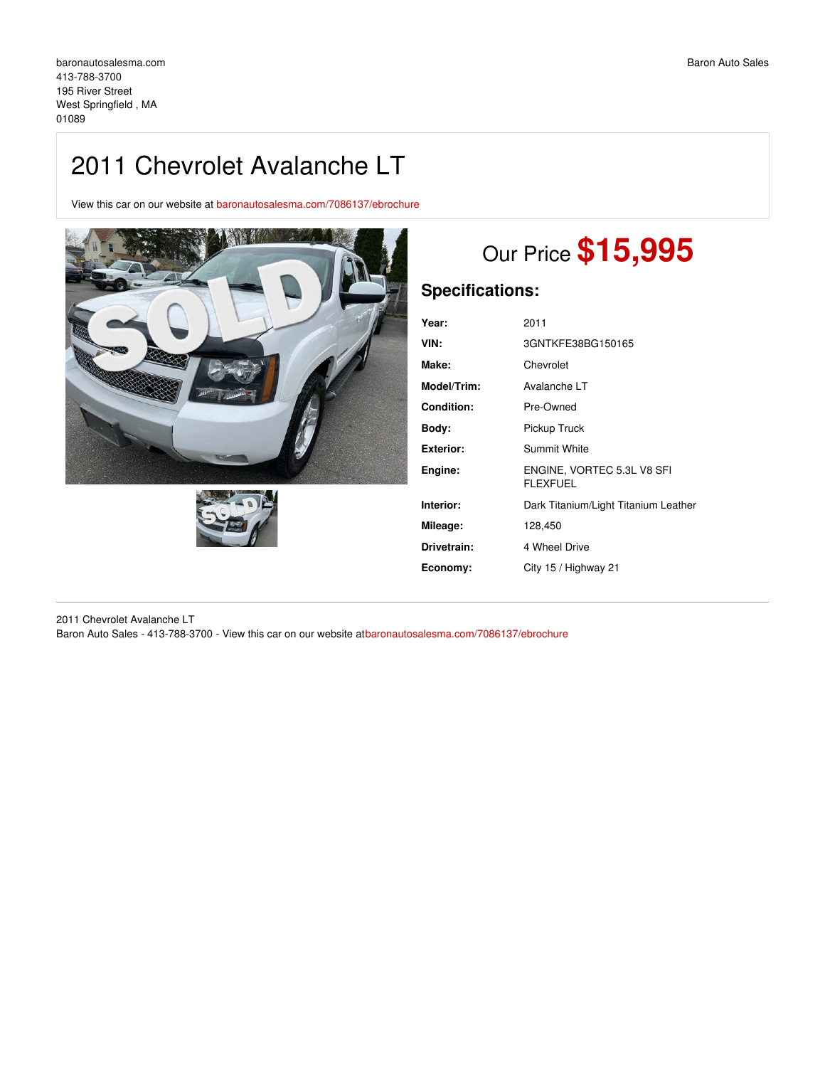## 2011 Chevrolet Avalanche LT

View this car on our website at [baronautosalesma.com/7086137/ebrochure](https://baronautosalesma.com/vehicle/7086137/2011-chevrolet-avalanche-lt-west-springfield-ma-01089/7086137/ebrochure)





# Our Price **\$15,995**

### **Specifications:**

| 2011                                          |
|-----------------------------------------------|
| 3GNTKFE38BG150165                             |
| Chevrolet                                     |
| Avalanche LT                                  |
| Pre-Owned                                     |
| Pickup Truck                                  |
| Summit White                                  |
| ENGINE, VORTEC 5.3L V8 SFI<br><b>FLEXFUEL</b> |
| Dark Titanium/Light Titanium Leather          |
| 128,450                                       |
| 4 Wheel Drive                                 |
| City 15 / Highway 21                          |
|                                               |

2011 Chevrolet Avalanche LT Baron Auto Sales - 413-788-3700 - View this car on our website at[baronautosalesma.com/7086137/ebrochure](https://baronautosalesma.com/vehicle/7086137/2011-chevrolet-avalanche-lt-west-springfield-ma-01089/7086137/ebrochure)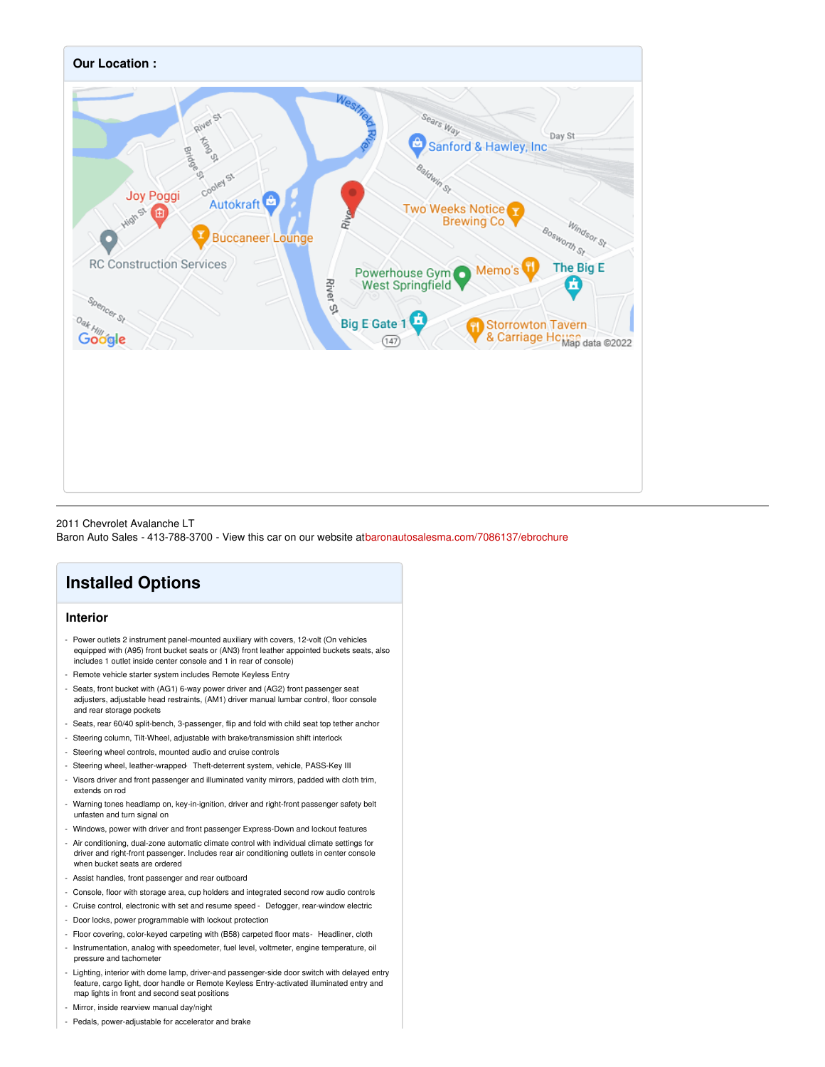

#### 2011 Chevrolet Avalanche LT

Baron Auto Sales - 413-788-3700 - View this car on our website at[baronautosalesma.com/7086137/ebrochure](https://baronautosalesma.com/vehicle/7086137/2011-chevrolet-avalanche-lt-west-springfield-ma-01089/7086137/ebrochure)

### **Installed Options**

#### **Interior**

- Power outlets 2 instrument panel-mounted auxiliary with covers, 12-volt (On vehicles equipped with (A95) front bucket seats or (AN3) front leather appointed buckets seats, also includes 1 outlet inside center console and 1 in rear of console)
- Remote vehicle starter system includes Remote Keyless Entry
- Seats, front bucket with (AG1) 6-way power driver and (AG2) front passenger seat adjusters, adjustable head restraints, (AM1) driver manual lumbar control, floor console and rear storage pockets
- Seats, rear 60/40 split-bench, 3-passenger, flip and fold with child seat top tether anchor
- Steering column, Tilt-Wheel, adjustable with brake/transmission shift interlock
- Steering wheel controls, mounted audio and cruise controls
- Steering wheel, leather-wrapped- Theft-deterrent system, vehicle, PASS-Key III
- Visors driver and front passenger and illuminated vanity mirrors, padded with cloth trim, extends on rod
- Warning tones headlamp on, key-in-ignition, driver and right-front passenger safety belt unfasten and turn signal on
- Windows, power with driver and front passenger Express-Down and lockout features
- Air conditioning, dual-zone automatic climate control with individual climate settings for driver and right-front passenger. Includes rear air conditioning outlets in center console when bucket seats are ordered
- Assist handles, front passenger and rear outboard
- Console, floor with storage area, cup holders and integrated second row audio controls
- Cruise control, electronic with set and resume speed Defogger, rear-window electric
- Door locks, power programmable with lockout protection
- Floor covering, color-keyed carpeting with (B58) carpeted floor mats- Headliner, cloth
- Instrumentation, analog with speedometer, fuel level, voltmeter, engine temperature, oil pressure and tachometer
- Lighting, interior with dome lamp, driver-and passenger-side door switch with delayed entry feature, cargo light, door handle or Remote Keyless Entry-activated illuminated entry and map lights in front and second seat positions
- Mirror, inside rearview manual day/night
- Pedals, power-adjustable for accelerator and brake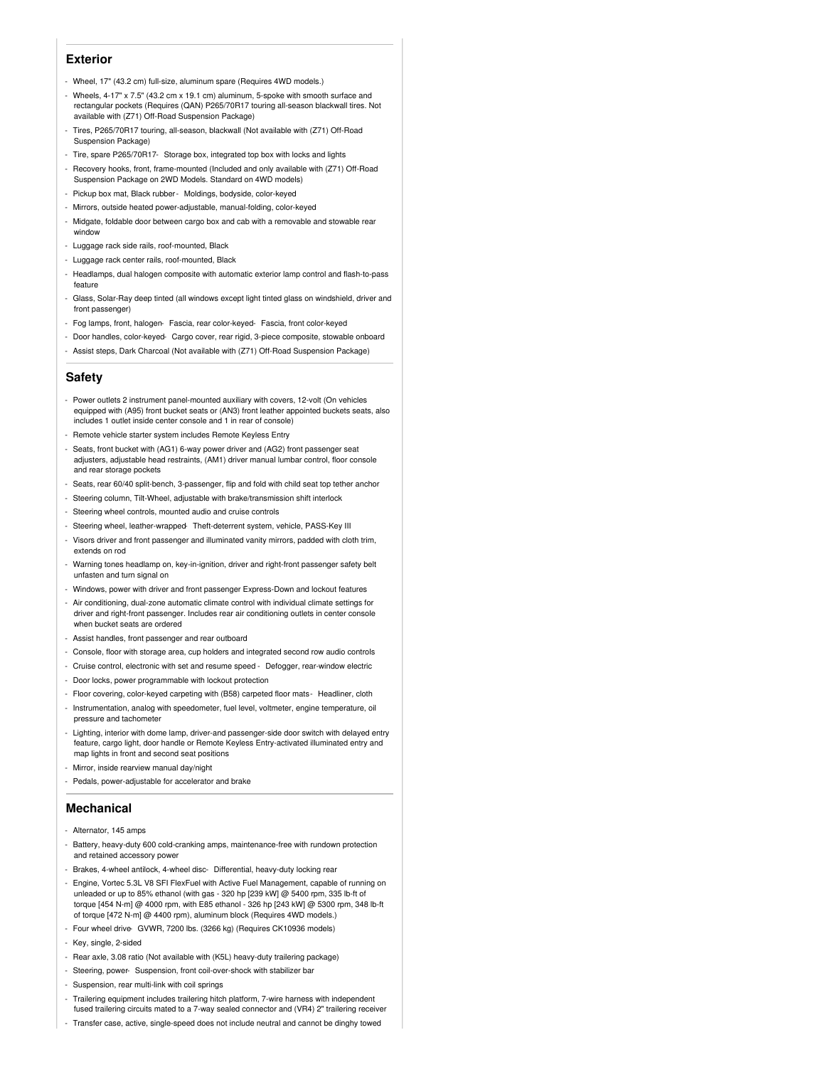#### **Exterior**

- Wheel, 17" (43.2 cm) full-size, aluminum spare (Requires 4WD models.)
- Wheels, 4-17" x 7.5" (43.2 cm x 19.1 cm) aluminum, 5-spoke with smooth surface and rectangular pockets (Requires (QAN) P265/70R17 touring all-season blackwall tires. Not available with (Z71) Off-Road Suspension Package)
- Tires, P265/70R17 touring, all-season, blackwall (Not available with (Z71) Off-Road Suspension Package)
- Tire, spare P265/70R17- Storage box, integrated top box with locks and lights
- Recovery hooks, front, frame-mounted (Included and only available with (Z71) Off-Road Suspension Package on 2WD Models. Standard on 4WD models)
- Pickup box mat, Black rubber- Moldings, bodyside, color-keyed
- Mirrors, outside heated power-adjustable, manual-folding, color-keyed
- Midgate, foldable door between cargo box and cab with a removable and stowable rear window
- Luggage rack side rails, roof-mounted, Black
- Luggage rack center rails, roof-mounted, Black
- Headlamps, dual halogen composite with automatic exterior lamp control and flash-to-pass feature
- Glass, Solar-Ray deep tinted (all windows except light tinted glass on windshield, driver and front passenger)
- Fog lamps, front, halogen- Fascia, rear color-keyed- Fascia, front color-keyed
- Door handles, color-keyed- Cargo cover, rear rigid, 3-piece composite, stowable onboard
- Assist steps, Dark Charcoal (Not available with (Z71) Off-Road Suspension Package)

#### **Safety**

- Power outlets 2 instrument panel-mounted auxiliary with covers, 12-volt (On vehicles equipped with (A95) front bucket seats or (AN3) front leather appointed buckets seats, also includes 1 outlet inside center console and 1 in rear of console)
- Remote vehicle starter system includes Remote Keyless Entry
- Seats, front bucket with (AG1) 6-way power driver and (AG2) front passenger seat adjusters, adjustable head restraints, (AM1) driver manual lumbar control, floor console and rear storage pockets
- Seats, rear 60/40 split-bench, 3-passenger, flip and fold with child seat top tether anchor
- Steering column, Tilt-Wheel, adjustable with brake/transmission shift interlock
- Steering wheel controls, mounted audio and cruise controls
- Steering wheel, leather-wrapped- Theft-deterrent system, vehicle, PASS-Key III
- Visors driver and front passenger and illuminated vanity mirrors, padded with cloth trim, extends on rod
- Warning tones headlamp on, key-in-ignition, driver and right-front passenger safety belt unfasten and turn signal on
- Windows, power with driver and front passenger Express-Down and lockout features
- Air conditioning, dual-zone automatic climate control with individual climate settings for driver and right-front passenger. Includes rear air conditioning outlets in center console when bucket seats are ordered
- Assist handles, front passenger and rear outboard
- Console, floor with storage area, cup holders and integrated second row audio controls
- Cruise control, electronic with set and resume speed Defogger, rear-window electric
- Door locks, power programmable with lockout protection
- Floor covering, color-keyed carpeting with (B58) carpeted floor mats- Headliner, cloth
- Instrumentation, analog with speedometer, fuel level, voltmeter, engine temperature, oil pressure and tachomete
- Lighting, interior with dome lamp, driver-and passenger-side door switch with delayed entry feature, cargo light, door handle or Remote Keyless Entry-activated illuminated entry and map lights in front and second seat positions
- Mirror, inside rearview manual day/night
- Pedals, power-adjustable for accelerator and brake

#### **Mechanical**

- Alternator, 145 amps
- Battery, heavy-duty 600 cold-cranking amps, maintenance-free with rundown protection and retained accessory power
- Brakes, 4-wheel antilock, 4-wheel disc- Differential, heavy-duty locking rear
- Engine, Vortec 5.3L V8 SFI FlexFuel with Active Fuel Management, capable of running on unleaded or up to 85% ethanol (with gas - 320 hp [239 kW] @ 5400 rpm, 335 lb-ft of torque [454 N-m] @ 4000 rpm, with E85 ethanol - 326 hp [243 kW] @ 5300 rpm, 348 lb-ft of torque [472 N-m] @ 4400 rpm), aluminum block (Requires 4WD models.)
- Four wheel drive GVWR, 7200 lbs. (3266 kg) (Requires CK10936 models)
- Key, single, 2-sided
- Rear axle, 3.08 ratio (Not available with (K5L) heavy-duty trailering package)
- Steering, power- Suspension, front coil-over-shock with stabilizer bar
- Suspension, rear multi-link with coil springs
- Trailering equipment includes trailering hitch platform, 7-wire harness with independent fused trailering circuits mated to a 7-way sealed connector and (VR4) 2" trailering receiver
- Transfer case, active, single-speed does not include neutral and cannot be dinghy towed